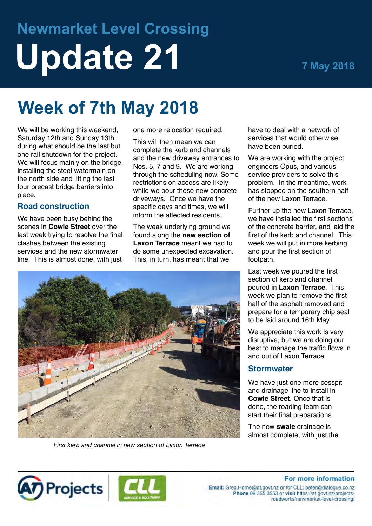# **Newmarket Level Crossing Update 21 7 May 2018**

# **Week of 7th May 2018**

We will be working this weekend, Saturday 12th and Sunday 13th, during what should be the last but one rail shutdown for the project. We will focus mainly on the bridge. installing the steel watermain on the north side and lifting the last four precast bridge barriers into place.

# **Road construction**

We have been busy behind the scenes in **Cowie Street** over the last week trying to resolve the final clashes between the existing services and the new stormwater line. This is almost done, with just

one more relocation required.

This will then mean we can complete the kerb and channels and the new driveway entrances to Nos. 5, 7 and 9. We are working through the scheduling now. Some restrictions on access are likely while we pour these new concrete driveways. Once we have the specific days and times, we will inform the affected residents.

The weak underlying ground we found along the **new section of Laxon Terrace** meant we had to do some unexpected excavation. This, in turn, has meant that we



*First kerb and channel in new section of Laxon Terrace*

have to deal with a network of services that would otherwise have been buried.

We are working with the project engineers Opus, and various service providers to solve this problem. In the meantime, work has stopped on the southern half of the new Laxon Terrace.

Further up the new Laxon Terrace, we have installed the first sections of the concrete barrier, and laid the first of the kerb and channel. This week we will put in more kerbing and pour the first section of footpath.

Last week we poured the first section of kerb and channel poured in **Laxon Terrace**. This week we plan to remove the first half of the asphalt removed and prepare for a temporary chip seal to be laid around 16th May.

We appreciate this work is very disruptive, but we are doing our best to manage the traffic flows in and out of Laxon Terrace.

#### **Stormwater**

We have just one more cesspit and drainage line to install in **Cowie Street**. Once that is done, the roading team can start their final preparations.

The new **swale** drainage is almost complete, with just the